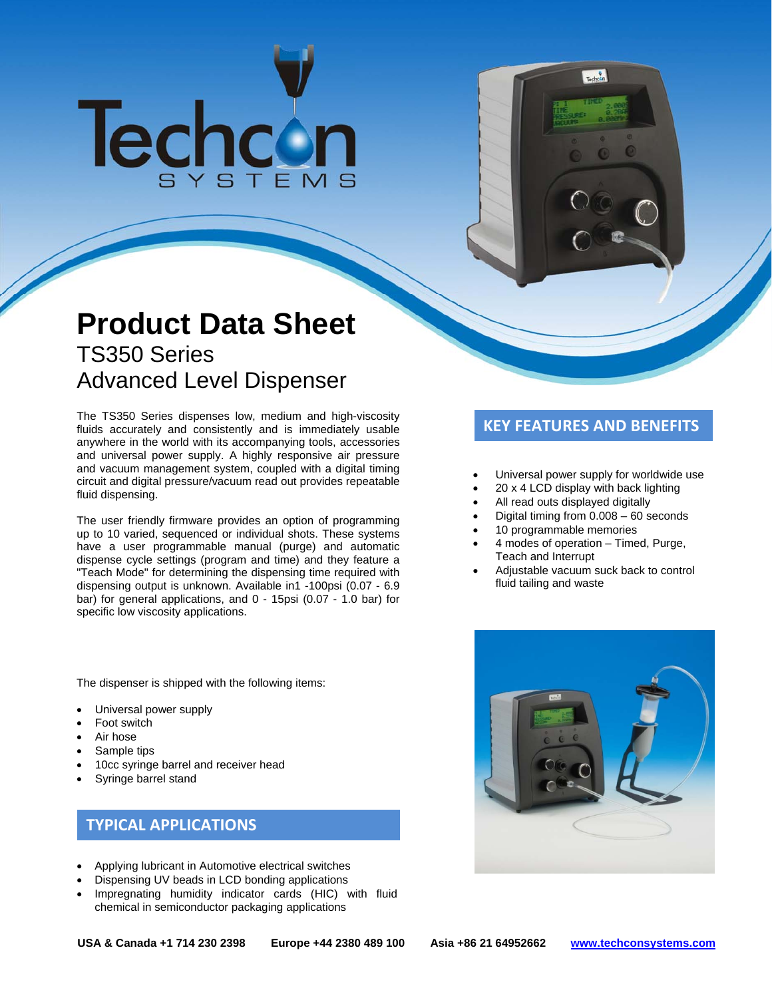# **Techcon**

# **Product Data Sheet**  TS350 Series Advanced Level Dispenser

The TS350 Series dispenses low, medium and high-viscosity<br> **KEY FEATURES AND BENEFITS** fluids accurately and consistently and is immediately usable anywhere in the world with its accompanying tools, accessories and universal power supply. A highly responsive air pressure and vacuum management system, coupled with a digital timing circuit and digital pressure/vacuum read out provides repeatable fluid dispensing.

 bar) for general applications, and 0 - 15psi (0.07 - 1.0 bar) for The user friendly firmware provides an option of programming up to 10 varied, sequenced or individual shots. These systems have a user programmable manual (purge) and automatic dispense cycle settings (program and time) and they feature a "Teach Mode" for determining the dispensing time required with dispensing output is unknown. Available in1 -100psi (0.07 - 6.9 specific low viscosity applications.

The dispenser is shipped with the following items:

- Universal power supply
- Foot switch
- Air hose
- Sample tips
- 10cc syringe barrel and receiver head
- Syringe barrel stand

## **TYPICAL APPLICATIONS**

- Applying lubricant in Automotive electrical switches
- Dispensing UV beads in LCD bonding applications
- Impregnating humidity indicator cards (HIC) with fluid chemical in semiconductor packaging applications

- Universal power supply for worldwide use
- 20 x 4 LCD display with back lighting
- All read outs displayed digitally
- Digital timing from 0.008 60 seconds
- 10 programmable memories
- 4 modes of operation Timed, Purge, Teach and Interrupt
- Adjustable vacuum suck back to control fluid tailing and waste